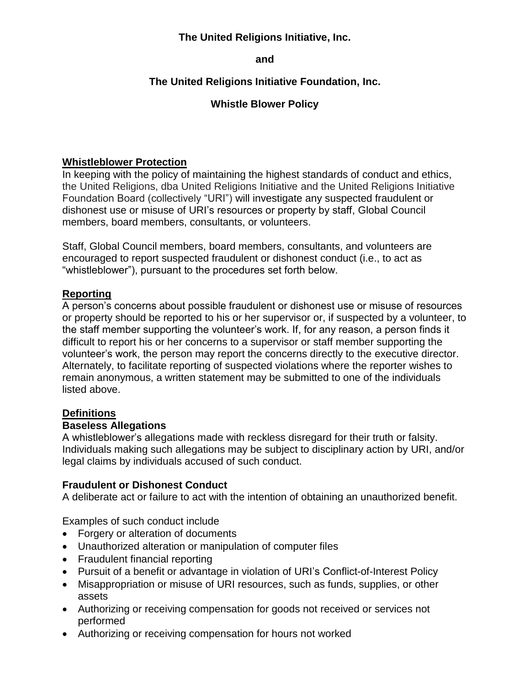# **The United Religions Initiative, Inc.**

**and** 

# **The United Religions Initiative Foundation, Inc.**

# **Whistle Blower Policy**

### **Whistleblower Protection**

In keeping with the policy of maintaining the highest standards of conduct and ethics, the United Religions, dba United Religions Initiative and the United Religions Initiative Foundation Board (collectively "URI") will investigate any suspected fraudulent or dishonest use or misuse of URI's resources or property by staff, Global Council members, board members, consultants, or volunteers.

Staff, Global Council members, board members, consultants, and volunteers are encouraged to report suspected fraudulent or dishonest conduct (i.e., to act as "whistleblower"), pursuant to the procedures set forth below.

### **Reporting**

A person's concerns about possible fraudulent or dishonest use or misuse of resources or property should be reported to his or her supervisor or, if suspected by a volunteer, to the staff member supporting the volunteer's work. If, for any reason, a person finds it difficult to report his or her concerns to a supervisor or staff member supporting the volunteer's work, the person may report the concerns directly to the executive director. Alternately, to facilitate reporting of suspected violations where the reporter wishes to remain anonymous, a written statement may be submitted to one of the individuals listed above.

# **Definitions**

#### **Baseless Allegations**

A whistleblower's allegations made with reckless disregard for their truth or falsity. Individuals making such allegations may be subject to disciplinary action by URI, and/or legal claims by individuals accused of such conduct.

#### **Fraudulent or Dishonest Conduct**

A deliberate act or failure to act with the intention of obtaining an unauthorized benefit.

Examples of such conduct include

- Forgery or alteration of documents
- Unauthorized alteration or manipulation of computer files
- Fraudulent financial reporting
- Pursuit of a benefit or advantage in violation of URI's Conflict-of-Interest Policy
- Misappropriation or misuse of URI resources, such as funds, supplies, or other assets
- Authorizing or receiving compensation for goods not received or services not performed
- Authorizing or receiving compensation for hours not worked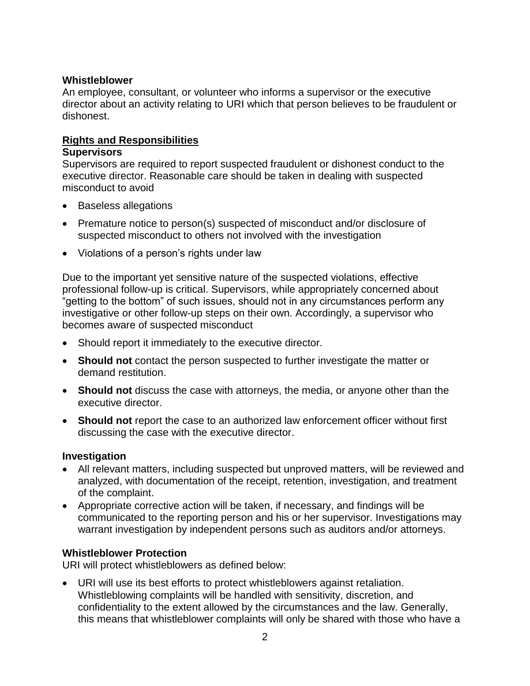### **Whistleblower**

An employee, consultant, or volunteer who informs a supervisor or the executive director about an activity relating to URI which that person believes to be fraudulent or dishonest.

### **Rights and Responsibilities**

#### **Supervisors**

Supervisors are required to report suspected fraudulent or dishonest conduct to the executive director. Reasonable care should be taken in dealing with suspected misconduct to avoid

- Baseless allegations
- Premature notice to person(s) suspected of misconduct and/or disclosure of suspected misconduct to others not involved with the investigation
- Violations of a person's rights under law

Due to the important yet sensitive nature of the suspected violations, effective professional follow-up is critical. Supervisors, while appropriately concerned about "getting to the bottom" of such issues, should not in any circumstances perform any investigative or other follow-up steps on their own. Accordingly, a supervisor who becomes aware of suspected misconduct

- Should report it immediately to the executive director.
- **Should not** contact the person suspected to further investigate the matter or demand restitution.
- **Should not** discuss the case with attorneys, the media, or anyone other than the executive director.
- **Should not** report the case to an authorized law enforcement officer without first discussing the case with the executive director.

# **Investigation**

- All relevant matters, including suspected but unproved matters, will be reviewed and analyzed, with documentation of the receipt, retention, investigation, and treatment of the complaint.
- Appropriate corrective action will be taken, if necessary, and findings will be communicated to the reporting person and his or her supervisor. Investigations may warrant investigation by independent persons such as auditors and/or attorneys.

# **Whistleblower Protection**

URI will protect whistleblowers as defined below:

 URI will use its best efforts to protect whistleblowers against retaliation. Whistleblowing complaints will be handled with sensitivity, discretion, and confidentiality to the extent allowed by the circumstances and the law. Generally, this means that whistleblower complaints will only be shared with those who have a